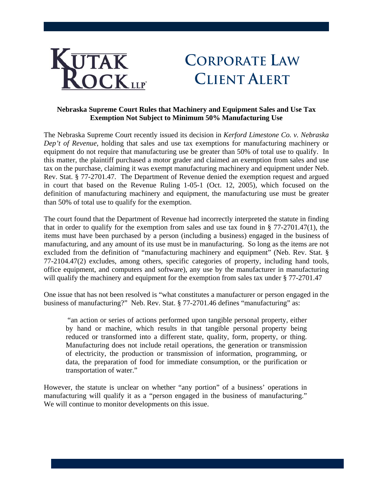

## **CORPORATE LAW CLIENT ALERT**

## **Nebraska Supreme Court Rules that Machinery and Equipment Sales and Use Tax Exemption Not Subject to Minimum 50% Manufacturing Use**

The Nebraska Supreme Court recently issued its decision in *Kerford Limestone Co. v. Nebraska Dep't of Revenue*, holding that sales and use tax exemptions for manufacturing machinery or equipment do not require that manufacturing use be greater than 50% of total use to qualify. In this matter, the plaintiff purchased a motor grader and claimed an exemption from sales and use tax on the purchase, claiming it was exempt manufacturing machinery and equipment under Neb. Rev. Stat. § 77-2701.47. The Department of Revenue denied the exemption request and argued in court that based on the Revenue Ruling 1-05-1 (Oct. 12, 2005), which focused on the definition of manufacturing machinery and equipment, the manufacturing use must be greater than 50% of total use to qualify for the exemption.

The court found that the Department of Revenue had incorrectly interpreted the statute in finding that in order to qualify for the exemption from sales and use tax found in  $\S 77-2701.47(1)$ , the items must have been purchased by a person (including a business) engaged in the business of manufacturing, and any amount of its use must be in manufacturing. So long as the items are not excluded from the definition of "manufacturing machinery and equipment" (Neb. Rev. Stat. § 77-2104.47(2) excludes, among others, specific categories of property, including hand tools, office equipment, and computers and software), any use by the manufacturer in manufacturing will qualify the machinery and equipment for the exemption from sales tax under § 77-2701.47

One issue that has not been resolved is "what constitutes a manufacturer or person engaged in the business of manufacturing?" Neb. Rev. Stat. § 77-2701.46 defines "manufacturing" as:

 "an action or series of actions performed upon tangible personal property, either by hand or machine, which results in that tangible personal property being reduced or transformed into a different state, quality, form, property, or thing. Manufacturing does not include retail operations, the generation or transmission of electricity, the production or transmission of information, programming, or data, the preparation of food for immediate consumption, or the purification or transportation of water."

However, the statute is unclear on whether "any portion" of a business' operations in manufacturing will qualify it as a "person engaged in the business of manufacturing." We will continue to monitor developments on this issue.